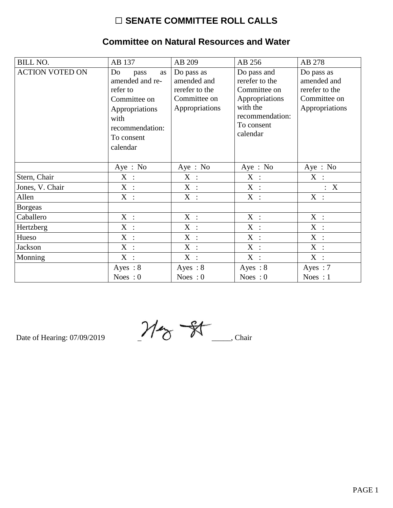| <b>BILL NO.</b>        | AB 137                                                                                                                                 | AB 209                                                                        | AB 256                                                                                                                   | AB 278                                                                        |
|------------------------|----------------------------------------------------------------------------------------------------------------------------------------|-------------------------------------------------------------------------------|--------------------------------------------------------------------------------------------------------------------------|-------------------------------------------------------------------------------|
| <b>ACTION VOTED ON</b> | Do<br>pass<br>as<br>amended and re-<br>refer to<br>Committee on<br>Appropriations<br>with<br>recommendation:<br>To consent<br>calendar | Do pass as<br>amended and<br>rerefer to the<br>Committee on<br>Appropriations | Do pass and<br>rerefer to the<br>Committee on<br>Appropriations<br>with the<br>recommendation:<br>To consent<br>calendar | Do pass as<br>amended and<br>rerefer to the<br>Committee on<br>Appropriations |
|                        | Aye: No                                                                                                                                | Aye : No                                                                      | Aye : $No$                                                                                                               | Aye: No                                                                       |
| Stern, Chair           | X :                                                                                                                                    | X :                                                                           | X :                                                                                                                      | X :                                                                           |
| Jones, V. Chair        | X :                                                                                                                                    | X :                                                                           | X :                                                                                                                      | : X                                                                           |
| Allen                  | X :                                                                                                                                    | X :                                                                           | X :                                                                                                                      | $X$ :                                                                         |
| <b>Borgeas</b>         |                                                                                                                                        |                                                                               |                                                                                                                          |                                                                               |
| Caballero              | X :                                                                                                                                    | X :                                                                           | $X$ :                                                                                                                    | X :                                                                           |
| Hertzberg              | X :                                                                                                                                    | X :                                                                           | X :                                                                                                                      | X :                                                                           |
| Hueso                  | X :                                                                                                                                    | $X$ :                                                                         | X :                                                                                                                      | X :                                                                           |
| Jackson                | X :                                                                                                                                    | X :                                                                           | X :                                                                                                                      | X :                                                                           |
| Monning                | X :                                                                                                                                    | $X$ :                                                                         | $X$ :                                                                                                                    | X :                                                                           |
|                        | Ayes : $8$                                                                                                                             | Ayes: $8$                                                                     | Ayes : $8$                                                                                                               | Ayes : $7$                                                                    |
|                        | Noes: $0$                                                                                                                              | Noes : $0$                                                                    | Noes: $0$                                                                                                                | Noes : $1$                                                                    |

### **Committee on Natural Resources and Water**

 $M_{\gamma}$  St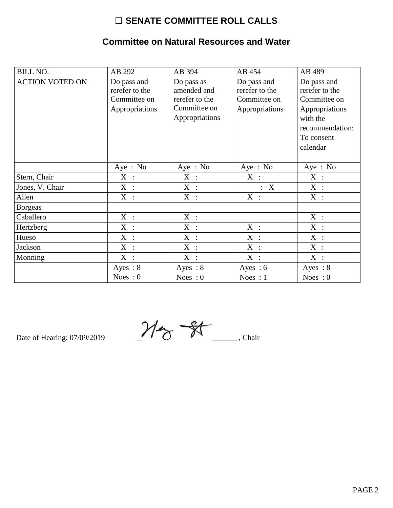### **Committee on Natural Resources and Water**

| <b>BILL NO.</b>        | AB 292                                                          | AB 394                                                                        | AB 454                                                          | AB 489                                                                                                                   |
|------------------------|-----------------------------------------------------------------|-------------------------------------------------------------------------------|-----------------------------------------------------------------|--------------------------------------------------------------------------------------------------------------------------|
| <b>ACTION VOTED ON</b> | Do pass and<br>rerefer to the<br>Committee on<br>Appropriations | Do pass as<br>amended and<br>rerefer to the<br>Committee on<br>Appropriations | Do pass and<br>rerefer to the<br>Committee on<br>Appropriations | Do pass and<br>rerefer to the<br>Committee on<br>Appropriations<br>with the<br>recommendation:<br>To consent<br>calendar |
|                        | Aye: No                                                         | Aye : $No$                                                                    | Aye: No                                                         | Aye : $No$                                                                                                               |
| Stern, Chair           | $X$ :                                                           | X :                                                                           | $X$ :                                                           | X :                                                                                                                      |
| Jones, V. Chair        | X :                                                             | $X$ :                                                                         | : X                                                             | X :                                                                                                                      |
| Allen                  | X :                                                             | X :                                                                           | $X$ :                                                           | X :                                                                                                                      |
| <b>Borgeas</b>         |                                                                 |                                                                               |                                                                 |                                                                                                                          |
| Caballero              | X :                                                             | $X$ :                                                                         |                                                                 | $X$ :                                                                                                                    |
| Hertzberg              | $X$ :                                                           | $X$ :                                                                         | $X$ :                                                           | $X$ :                                                                                                                    |
| Hueso                  | X :                                                             | $X$ :                                                                         | $X$ :                                                           | $X$ :                                                                                                                    |
| Jackson                | $X$ :                                                           | X :                                                                           | $X$ :                                                           | $X$ :                                                                                                                    |
| Monning                | $X$ :                                                           | X :                                                                           | $X$ :                                                           | $X$ :                                                                                                                    |
|                        | Ayes : $8$                                                      | Ayes: $8$                                                                     | Ayes : $6$                                                      | Ayes: $8$                                                                                                                |
|                        | Noes : $0$                                                      | Noes : $0$                                                                    | Noes : $1$                                                      | Noes : $0$                                                                                                               |

 $M_{\gamma}$   $M_{\gamma}$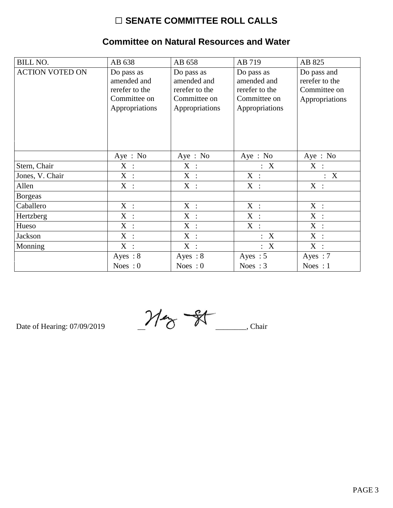| <b>BILL NO.</b>        | AB 638                                                                        | AB 658                                                                        | AB 719                                                                        | AB 825                                                          |
|------------------------|-------------------------------------------------------------------------------|-------------------------------------------------------------------------------|-------------------------------------------------------------------------------|-----------------------------------------------------------------|
| <b>ACTION VOTED ON</b> | Do pass as<br>amended and<br>rerefer to the<br>Committee on<br>Appropriations | Do pass as<br>amended and<br>rerefer to the<br>Committee on<br>Appropriations | Do pass as<br>amended and<br>rerefer to the<br>Committee on<br>Appropriations | Do pass and<br>rerefer to the<br>Committee on<br>Appropriations |
|                        | Aye : No                                                                      | Aye : No                                                                      | Aye : No                                                                      | Aye : $No$                                                      |
| Stern, Chair           | $X$ :                                                                         | $X$ :                                                                         | : X                                                                           | $X$ :                                                           |
| Jones, V. Chair        | X :                                                                           | $X$ :                                                                         | X :                                                                           | : X                                                             |
| Allen                  | $X$ :                                                                         | $X$ :                                                                         | $X$ :                                                                         | $X$ :                                                           |
| <b>Borgeas</b>         |                                                                               |                                                                               |                                                                               |                                                                 |
| Caballero              | X :                                                                           | $X$ :                                                                         | $X$ :                                                                         | $X$ :                                                           |
| Hertzberg              | X :                                                                           | $X$ :                                                                         | $X$ :                                                                         | $X$ :                                                           |
| Hueso                  | $X$ :                                                                         | $X$ :                                                                         | $X$ :                                                                         | $X$ :                                                           |
| <b>Jackson</b>         | X :                                                                           | $X$ :                                                                         | $\boldsymbol{\mathrm{X}}$<br>÷                                                | $X$ :                                                           |
| Monning                | X :                                                                           | X :                                                                           | $\boldsymbol{X}$<br>$\ddot{\cdot}$                                            | X :                                                             |
|                        | Ayes : $8$                                                                    | Ayes : $8$                                                                    | Ayes : $5$                                                                    | Ayes : $7$                                                      |
|                        | Noes : $0$                                                                    | Noes : $0$                                                                    | Noes : $3$                                                                    | Noes : $1$                                                      |

### **Committee on Natural Resources and Water**

 $M_{\gamma}$  St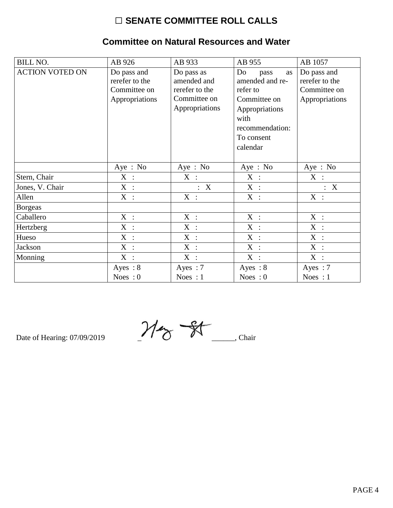| <b>BILL NO.</b>        | AB 926                                                          | AB 933                                                                        | AB 955                                                                                                                                        | AB 1057                                                         |
|------------------------|-----------------------------------------------------------------|-------------------------------------------------------------------------------|-----------------------------------------------------------------------------------------------------------------------------------------------|-----------------------------------------------------------------|
| <b>ACTION VOTED ON</b> | Do pass and<br>rerefer to the<br>Committee on<br>Appropriations | Do pass as<br>amended and<br>rerefer to the<br>Committee on<br>Appropriations | Do<br>pass<br><b>as</b><br>amended and re-<br>refer to<br>Committee on<br>Appropriations<br>with<br>recommendation:<br>To consent<br>calendar | Do pass and<br>rerefer to the<br>Committee on<br>Appropriations |
|                        | Aye : No                                                        | Aye : No                                                                      | Aye : $No$                                                                                                                                    | Aye : $No$                                                      |
| Stern, Chair           | $X$ :                                                           | X :                                                                           | X :                                                                                                                                           | X :                                                             |
| Jones, V. Chair        | X :                                                             | : X                                                                           | $X$ :                                                                                                                                         | : X                                                             |
| Allen                  | X :                                                             | $\mathbf{X}$ :                                                                | $X$ :                                                                                                                                         | $X$ :                                                           |
| <b>Borgeas</b>         |                                                                 |                                                                               |                                                                                                                                               |                                                                 |
| Caballero              | X :                                                             | X :                                                                           | $X$ :                                                                                                                                         | X :                                                             |
| Hertzberg              | X :                                                             | X :                                                                           | $X$ :                                                                                                                                         | $X$ :                                                           |
| Hueso                  | $X$ :                                                           | X :                                                                           | $X$ :                                                                                                                                         | $X$ :                                                           |
| Jackson                | $X$ :                                                           | X :                                                                           | $X$ :                                                                                                                                         | X :                                                             |
| Monning                | $X$ :                                                           | X :                                                                           | X :                                                                                                                                           | $X$ :                                                           |
|                        | Ayes : $8$                                                      | Ayes : $7$                                                                    | Ayes : $8$                                                                                                                                    | Ayes: 7                                                         |
|                        | Noes : $0$                                                      | Noes : $1$                                                                    | Noes : $0$                                                                                                                                    | Noes : $1$                                                      |

## **Committee on Natural Resources and Water**

 $M_{\odot}$  St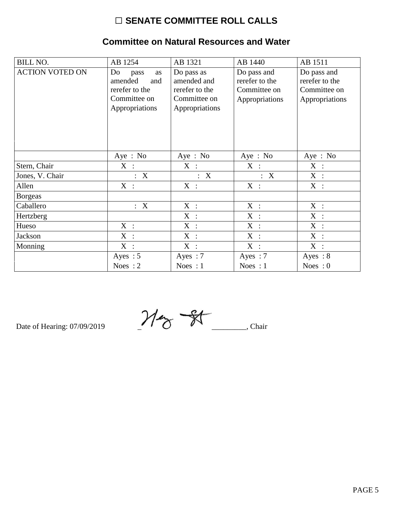| <b>BILL NO.</b>        | AB 1254                                                                                       | AB 1321                                                                       | AB 1440                                                         | AB 1511                                                         |
|------------------------|-----------------------------------------------------------------------------------------------|-------------------------------------------------------------------------------|-----------------------------------------------------------------|-----------------------------------------------------------------|
| <b>ACTION VOTED ON</b> | Do<br>pass<br><b>as</b><br>amended<br>and<br>rerefer to the<br>Committee on<br>Appropriations | Do pass as<br>amended and<br>rerefer to the<br>Committee on<br>Appropriations | Do pass and<br>rerefer to the<br>Committee on<br>Appropriations | Do pass and<br>rerefer to the<br>Committee on<br>Appropriations |
|                        | Aye: No                                                                                       | Aye : $No$                                                                    | Aye : $No$                                                      | Aye : $No$                                                      |
| Stern, Chair           | X :                                                                                           | X :                                                                           | X :                                                             | $X$ :                                                           |
| Jones, V. Chair        | : X                                                                                           | : X                                                                           | : X                                                             | $X$ :                                                           |
| Allen                  | $X$ :                                                                                         | $X$ :                                                                         | $X$ :                                                           | $X$ :                                                           |
| <b>Borgeas</b>         |                                                                                               |                                                                               |                                                                 |                                                                 |
| Caballero              | : X                                                                                           | X :                                                                           | $X$ :                                                           | $X$ :                                                           |
| Hertzberg              |                                                                                               | X :                                                                           | $X$ :                                                           | $X$ :                                                           |
| Hueso                  | X :                                                                                           | X :                                                                           | $X$ :                                                           | $X$ :                                                           |
| Jackson                | X :                                                                                           | X :                                                                           | $X$ :                                                           | $X$ :                                                           |
| Monning                | X :                                                                                           | X :                                                                           | X :                                                             | $X$ :                                                           |
|                        | Ayes : $5$                                                                                    | Ayes : $7$                                                                    | Ayes : $7$                                                      | Ayes : $8$                                                      |
|                        | Noes: $2$                                                                                     | Noes : $1$                                                                    | Noes : $1$                                                      | Noes : $0$                                                      |

#### **Committee on Natural Resources and Water**

 $M_{\gamma}$   $M_{\gamma}$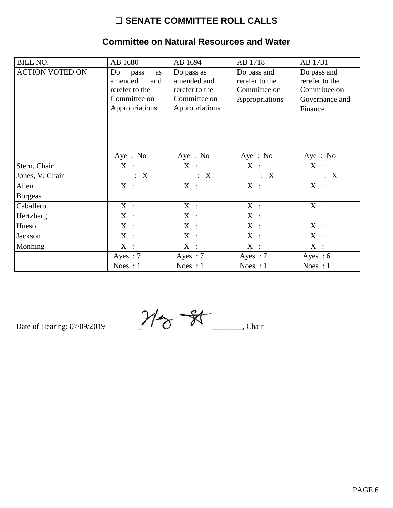| <b>BILL NO.</b>        | AB 1680                                                                                       | AB 1694                                                                       | AB 1718                                                         | AB 1731                                                                    |
|------------------------|-----------------------------------------------------------------------------------------------|-------------------------------------------------------------------------------|-----------------------------------------------------------------|----------------------------------------------------------------------------|
| <b>ACTION VOTED ON</b> | Do<br>pass<br><b>as</b><br>amended<br>and<br>rerefer to the<br>Committee on<br>Appropriations | Do pass as<br>amended and<br>rerefer to the<br>Committee on<br>Appropriations | Do pass and<br>rerefer to the<br>Committee on<br>Appropriations | Do pass and<br>rerefer to the<br>Committee on<br>Governance and<br>Finance |
|                        | Aye : No                                                                                      | Aye : No                                                                      | Aye: No                                                         | Aye: No                                                                    |
| Stern, Chair           | $X$ :                                                                                         | $X$ :                                                                         | $X$ :                                                           | $X$ :                                                                      |
| Jones, V. Chair        | : X                                                                                           | : X                                                                           | : X                                                             | : X                                                                        |
| Allen                  | $X$ :                                                                                         | $X$ :                                                                         | $X$ :                                                           | $X$ :                                                                      |
| <b>Borgeas</b>         |                                                                                               |                                                                               |                                                                 |                                                                            |
| Caballero              | X :                                                                                           | X :                                                                           | X :                                                             | $X$ :                                                                      |
| Hertzberg              | X :                                                                                           | $X$ :                                                                         | $X$ :                                                           |                                                                            |
| Hueso                  | X :                                                                                           | X :                                                                           | $X$ :                                                           | $X$ :                                                                      |
| Jackson                | X :                                                                                           | X :                                                                           | $X$ :                                                           | $X$ :                                                                      |
| Monning                | X :                                                                                           | X :                                                                           | X :                                                             | $X$ :                                                                      |
|                        | Ayes : $7$                                                                                    | Ayes: $7$                                                                     | Ayes : $7$                                                      | Ayes : $6$                                                                 |
|                        | Noes : $1$                                                                                    | Noes : $1$                                                                    | Noes : $1$                                                      | Noes : $1$                                                                 |

### **Committee on Natural Resources and Water**

 $M_{\odot}$  St